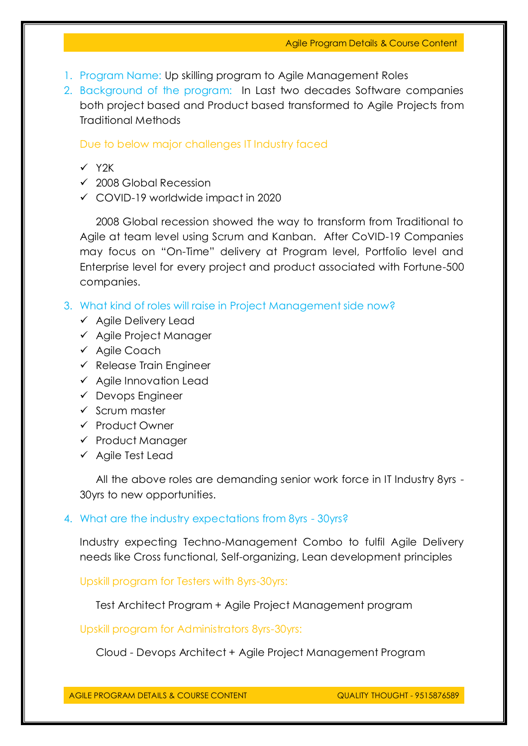- 1. Program Name: Up skilling program to Agile Management Roles
- 2. Background of the program: In Last two decades Software companies both project based and Product based transformed to Agile Projects from Traditional Methods

Due to below major challenges IT Industry faced

- $Y$  Y<sub>2</sub>K
- $\times$  2008 Global Recession
- COVID-19 worldwide impact in 2020

2008 Global recession showed the way to transform from Traditional to Agile at team level using Scrum and Kanban. After CoVID-19 Companies may focus on "On-Time" delivery at Program level, Portfolio level and Enterprise level for every project and product associated with Fortune-500 companies.

- 3. What kind of roles will raise in Project Management side now?
	- $\checkmark$  Agile Delivery Lead
	- $\checkmark$  Agile Project Manager
	- Agile Coach
	- $\checkmark$  Release Train Engineer
	- $\checkmark$  Agile Innovation Lead
	- $\checkmark$  Devops Engineer
	- $\checkmark$  Scrum master
	- $\checkmark$  Product Owner
	- $\checkmark$  Product Manager
	- $\checkmark$  Agile Test Lead

All the above roles are demanding senior work force in IT Industry 8yrs - 30yrs to new opportunities.

## 4. What are the industry expectations from 8yrs - 30yrs?

Industry expecting Techno-Management Combo to fulfil Agile Delivery needs like Cross functional, Self-organizing, Lean development principles

Upskill program for Testers with 8yrs-30yrs:

Test Architect Program + Agile Project Management program

Upskill program for Administrators 8yrs-30yrs:

Cloud - Devops Architect + Agile Project Management Program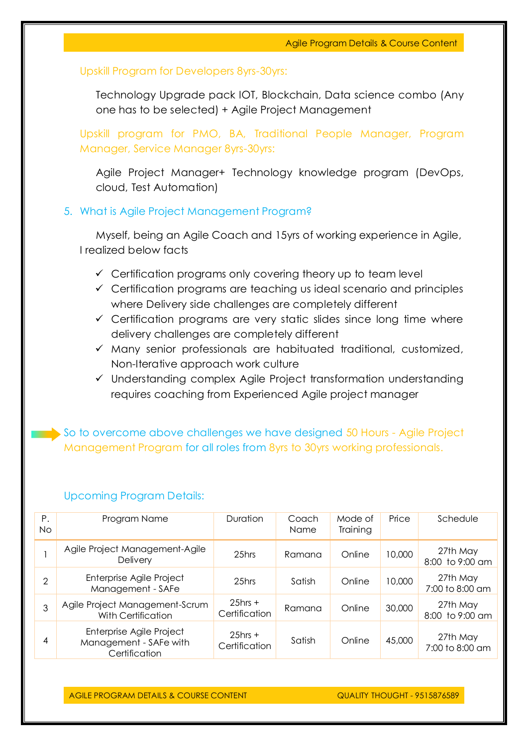#### Upskill Program for Developers 8yrs-30yrs:

Technology Upgrade pack IOT, Blockchain, Data science combo (Any one has to be selected) + Agile Project Management

Upskill program for PMO, BA, Traditional People Manager, Program Manager, Service Manager 8yrs-30yrs:

Agile Project Manager+ Technology knowledge program (DevOps, cloud, Test Automation)

### 5. What is Agile Project Management Program?

Myself, being an Agile Coach and 15yrs of working experience in Agile, I realized below facts

- $\checkmark$  Certification programs only covering theory up to team level
- $\checkmark$  Certification programs are teaching us ideal scenario and principles where Delivery side challenges are completely different
- $\checkmark$  Certification programs are very static slides since long time where delivery challenges are completely different
- $\checkmark$  Many senior professionals are habituated traditional, customized, Non-Iterative approach work culture
- $\checkmark$  Understanding complex Agile Project transformation understanding requires coaching from Experienced Agile project manager

So to overcome above challenges we have designed 50 Hours - Agile Project Management Program for all roles from 8yrs to 30yrs working professionals.

| Ρ.<br>No       | Program Name                                                        | Duration                    | Coach<br>Name | Mode of<br>Training | Price  | Schedule                    |
|----------------|---------------------------------------------------------------------|-----------------------------|---------------|---------------------|--------|-----------------------------|
|                | Agile Project Management-Agile<br>Delivery                          | 25hrs                       | Ramana        | Online              | 10,000 | 27th May<br>8:00 to 9:00 am |
| $\overline{2}$ | Enterprise Agile Project<br>Management - SAFe                       | 25hrs                       | Satish        | Online              | 10,000 | 27th May<br>7:00 to 8:00 am |
| 3              | Agile Project Management-Scrum<br>With Certification                | $25$ hrs +<br>Certification | Ramana        | Online              | 30,000 | 27th May<br>8:00 to 9:00 am |
| 4              | Enterprise Agile Project<br>Management - SAFe with<br>Certification | $25$ hrs +<br>Certification | Satish        | Online              | 45,000 | 27th May<br>7:00 to 8:00 am |

#### Upcoming Program Details:

AGILE PROGRAM DETAILS & COURSE CONTENT **ACCOMPT ACCOUNTY THOUGHT - 9515876589**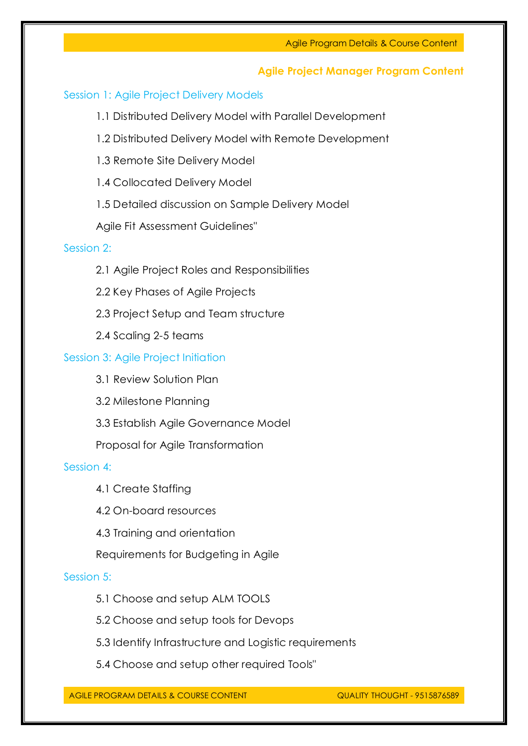# **Agile Project Manager Program Content**

## Session 1: Agile Project Delivery Models

1.1 Distributed Delivery Model with Parallel Development

1.2 Distributed Delivery Model with Remote Development

- 1.3 Remote Site Delivery Model
- 1.4 Collocated Delivery Model
- 1.5 Detailed discussion on Sample Delivery Model

Agile Fit Assessment Guidelines"

## Session 2:

- 2.1 Agile Project Roles and Responsibilities
- 2.2 Key Phases of Agile Projects
- 2.3 Project Setup and Team structure
- 2.4 Scaling 2-5 teams

## Session 3: Agile Project Initiation

- 3.1 Review Solution Plan
- 3.2 Milestone Planning
- 3.3 Establish Agile Governance Model
- Proposal for Agile Transformation

## Session 4:

- 4.1 Create Staffing
- 4.2 On-board resources
- 4.3 Training and orientation
- Requirements for Budgeting in Agile

## Session 5:

- 5.1 Choose and setup ALM TOOLS
- 5.2 Choose and setup tools for Devops
- 5.3 Identify Infrastructure and Logistic requirements
- 5.4 Choose and setup other required Tools"

AGILE PROGRAM DETAILS & COURSE CONTENT **ACCOUNTY ASSESSED AT ACCOUNTY THOUGHT** - 9515876589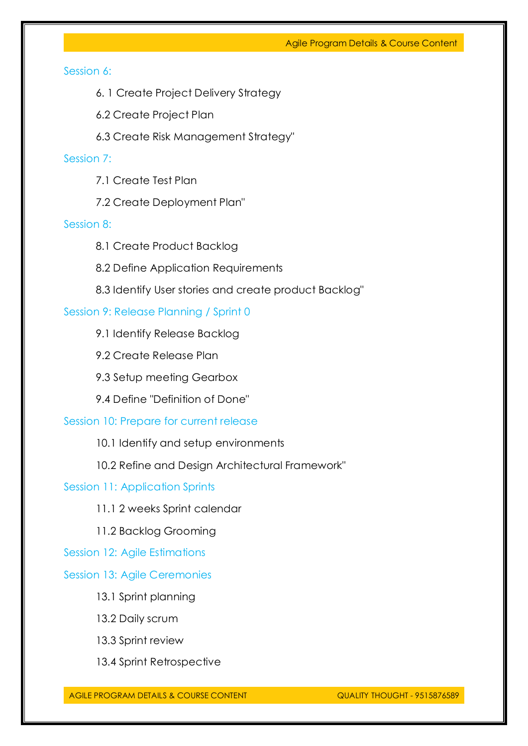Agile Program Details & Course Content

## Session 6:

- 6. 1 Create Project Delivery Strategy
- 6.2 Create Project Plan
- 6.3 Create Risk Management Strategy"

## Session 7:

- 7.1 Create Test Plan
- 7.2 Create Deployment Plan"

## Session 8:

- 8.1 Create Product Backlog
- 8.2 Define Application Requirements
- 8.3 Identify User stories and create product Backlog"

# Session 9: Release Planning / Sprint 0

- 9.1 Identify Release Backlog
- 9.2 Create Release Plan
- 9.3 Setup meeting Gearbox
- 9.4 Define "Definition of Done"

# Session 10: Prepare for current release

- 10.1 Identify and setup environments
- 10.2 Refine and Design Architectural Framework"

## Session 11: Application Sprints

- 11.1 2 weeks Sprint calendar
- 11.2 Backlog Grooming

# Session 12: Agile Estimations

# Session 13: Agile Ceremonies

- 13.1 Sprint planning
- 13.2 Daily scrum
- 13.3 Sprint review
- 13.4 Sprint Retrospective

AGILE PROGRAM DETAILS & COURSE CONTENT **ACCOUNTY ASSESSED AT ACCOUNTY THOUGHT** - 9515876589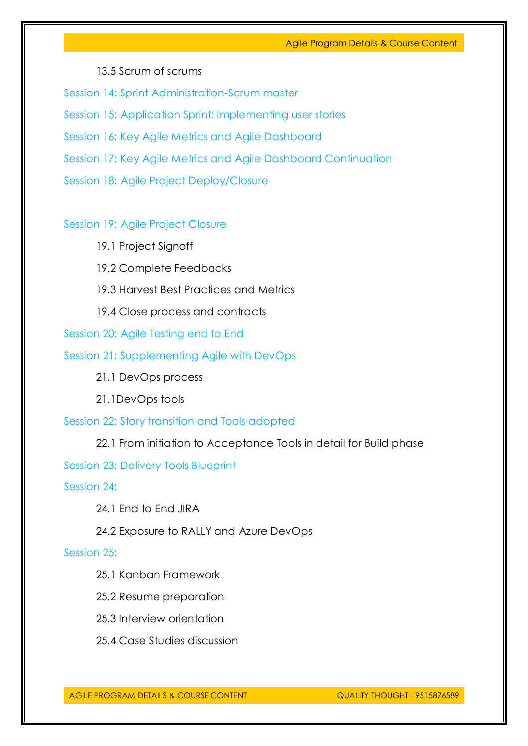Agile Program Details & Course Content

## 13.5 Scrum of scrums

Session 14: Sprint Administration-Scrum master

- Session 15: Application Sprint: Implementing user stories
- Session 16: Key Agile Metrics and Agile Dashboard
- Session 17: Key Agile Metrics and Agile Dashboard Continuation
- Session 18: Agile Project Deploy/Closure

### Session 19: Agile Project Closure

- 19.1 Project Signoff
- 19.2 Complete Feedbacks
- 19.3 Harvest Best Practices and Metrics
- 19.4 Close process and contracts
- Session 20: Agile Testing end to End

Session 21: Supplementing Agile with DevOps

- 21.1 DevOps process
- 21.1DevOps tools

Session 22: Story transition and Tools adopted

- 22.1 From initiation to Acceptance Tools in detail for Build phase
- Session 23: Delivery Tools Blueprint

Session 24:

- 24.1 End to End JIRA
- 24.2 Exposure to RALLY and Azure DevOps

## Session 25:

- 25.1 Kanban Framework
- 25.2 Resume preparation
- 25.3 Interview orientation
- 25.4 Case Studies discussion

AGILE PROGRAM DETAILS & COURSE CONTENT **ACCOUNTY ASSESSED AT ACCOUNTY THOUGHT** - 9515876589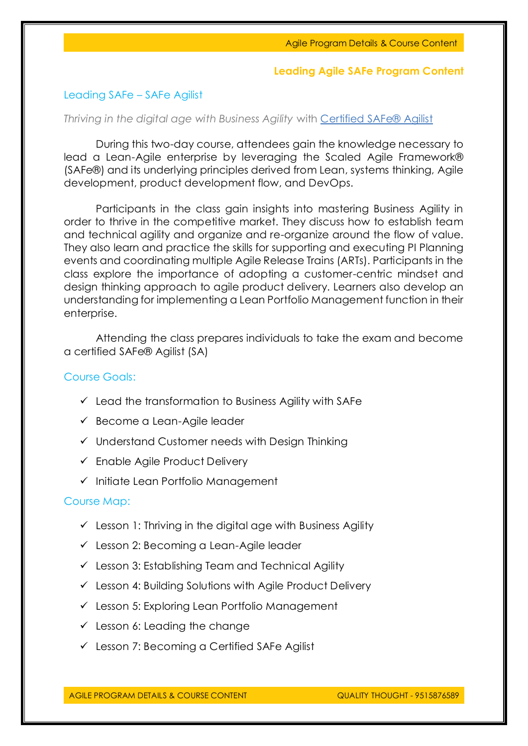#### **Leading Agile SAFe Program Content**

### Leading SAFe – SAFe Agilist

#### *Thriving in the digital age with Business Agility* with [Certified SAFe® Agilist](https://www.scaledagile.com/certification/certified-safe-agilist/)

During this two-day course, attendees gain the knowledge necessary to lead a Lean-Agile enterprise by leveraging the Scaled Agile Framework® (SAFe®) and its underlying principles derived from Lean, systems thinking, Agile development, product development flow, and DevOps.

Participants in the class gain insights into mastering Business Agility in order to thrive in the competitive market. They discuss how to establish team and technical agility and organize and re-organize around the flow of value. They also learn and practice the skills for supporting and executing PI Planning events and coordinating multiple Agile Release Trains (ARTs). Participants in the class explore the importance of adopting a customer-centric mindset and design thinking approach to agile product delivery. Learners also develop an understanding for implementing a Lean Portfolio Management function in their enterprise.

Attending the class prepares individuals to take the exam and become a certified SAFe® Agilist (SA)

### Course Goals:

- $\checkmark$  Lead the transformation to Business Agility with SAFe
- $\checkmark$  Become a Lean-Agile leader
- $\checkmark$  Understand Customer needs with Design Thinking
- $\checkmark$  Enable Agile Product Delivery
- $\checkmark$  Initiate Lean Portfolio Management

#### Course Map:

- $\checkmark$  Lesson 1: Thriving in the digital age with Business Agility
- $\checkmark$  Lesson 2: Becoming a Lean-Agile leader
- $\checkmark$  Lesson 3: Establishing Team and Technical Agility
- $\checkmark$  Lesson 4: Building Solutions with Agile Product Delivery
- $\checkmark$  Lesson 5: Exploring Lean Portfolio Management
- $\checkmark$  Lesson 6: Leading the change
- $\checkmark$  Lesson 7: Becoming a Certified SAFe Agilist